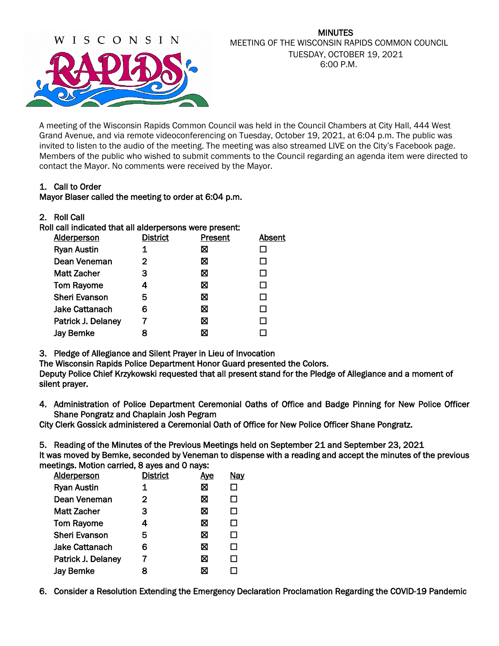

### MINUTES MEETING OF THE WISCONSIN RAPIDS COMMON COUNCIL TUESDAY, OCTOBER 19, 2021 6:00 P.M.

A meeting of the Wisconsin Rapids Common Council was held in the Council Chambers at City Hall, 444 West Grand Avenue, and via remote videoconferencing on Tuesday, October 19, 2021, at 6:04 p.m. The public was invited to listen to the audio of the meeting. The meeting was also streamed LIVE on the City's Facebook page. Members of the public who wished to submit comments to the Council regarding an agenda item were directed to contact the Mayor. No comments were received by the Mayor.

## 1. Call to Order

## Mayor Blaser called the meeting to order at 6:04 p.m.

| 2.<br><b>Roll Call</b> |  |
|------------------------|--|
|------------------------|--|

| Roll call indicated that all alderpersons were present: |                 |         |        |
|---------------------------------------------------------|-----------------|---------|--------|
| <b>Alderperson</b>                                      | <b>District</b> | Present | Absent |
| <b>Ryan Austin</b>                                      |                 | ⊠       |        |
| Dean Veneman                                            | 2               | ⊠       |        |
| Matt Zacher                                             | З               | ⊠       |        |
| <b>Tom Rayome</b>                                       | 4               | ⊠       |        |
| <b>Sheri Evanson</b>                                    | 5               | ⊠       |        |
| <b>Jake Cattanach</b>                                   | 6               | ⊠       |        |
| Patrick J. Delaney                                      |                 | ⊠       |        |
| <b>Jay Bemke</b>                                        |                 | X       |        |
|                                                         |                 |         |        |

3. Pledge of Allegiance and Silent Prayer in Lieu of Invocation

 The Wisconsin Rapids Police Department Honor Guard presented the Colors. Deputy Police Chief Krzykowski requested that all present stand for the Pledge of Allegiance and a moment of silent prayer.

4. Administration of Police Department Ceremonial Oaths of Office and Badge Pinning for New Police Officer Shane Pongratz and Chaplain Josh Pegram

City Clerk Gossick administered a Ceremonial Oath of Office for New Police Officer Shane Pongratz.

5. Reading of the Minutes of the Previous Meetings held on September 21 and September 23, 2021

It was moved by Bemke, seconded by Veneman to dispense with a reading and accept the minutes of the previous meetings. Motion carried, 8 ayes and 0 nays:

| <b>Alderperson</b>    | <b>District</b> | <u>Aye</u> | <b>Nay</b> |
|-----------------------|-----------------|------------|------------|
| <b>Ryan Austin</b>    | 1               | ⊠          | □          |
| Dean Veneman          | $\mathbf{2}$    | ⊠          | □          |
| <b>Matt Zacher</b>    | З               | X          | □          |
| <b>Tom Rayome</b>     | 4               | ⊠          | □          |
| <b>Sheri Evanson</b>  | 5               | ⊠          | □          |
| <b>Jake Cattanach</b> | 6               | ⊠          | □          |
| Patrick J. Delaney    | 7               | ⊠          | □          |
| <b>Jay Bemke</b>      | 8               | ⊠          |            |

6. Consider a Resolution Extending the Emergency Declaration Proclamation Regarding the COVID-19 Pandemic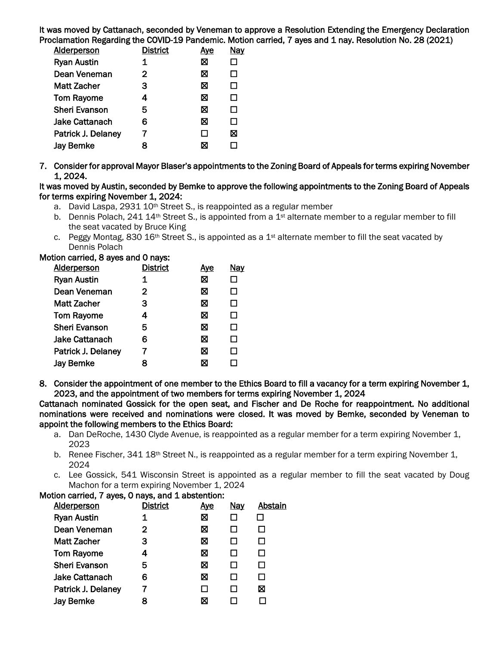It was moved by Cattanach, seconded by Veneman to approve a Resolution Extending the Emergency Declaration Proclamation Regarding the COVID-19 Pandemic. Motion carried, 7 ayes and 1 nay. Resolution No. 28 (2021)

| <b>Alderperson</b>   | <b>District</b> | <u>Aye</u> | Nay    |
|----------------------|-----------------|------------|--------|
| <b>Ryan Austin</b>   | 1               | ⊠          | П      |
| Dean Veneman         | 2               | ⊠          | $\Box$ |
| <b>Matt Zacher</b>   | 3               | ⊠          | □      |
| <b>Tom Rayome</b>    | 4               | ⊠          | П      |
| <b>Sheri Evanson</b> | 5               | ⊠          | П      |
| Jake Cattanach       | 6               | ⊠          | П      |
| Patrick J. Delaney   | 7               | ΙI         | ⊠      |
| <b>Jay Bemke</b>     | 8               | X          |        |
|                      |                 |            |        |

7. Consider for approval Mayor Blaser's appointments to the Zoning Board of Appeals for terms expiring November 1, 2024.

It was moved by Austin, seconded by Bemke to approve the following appointments to the Zoning Board of Appeals for terms expiring November 1, 2024:

- a. David Laspa, 2931 10<sup>th</sup> Street S., is reappointed as a regular member
- b. Dennis Polach, 241 14<sup>th</sup> Street S., is appointed from a 1<sup>st</sup> alternate member to a regular member to fill the seat vacated by Bruce King
- c. Peggy Montag, 830  $16<sup>th</sup>$  Street S., is appointed as a  $1<sup>st</sup>$  alternate member to fill the seat vacated by Dennis Polach

### Motion carried, 8 ayes and 0 nays:

| Alderperson          | <b>District</b> | <u>Aye</u> | <b>Nay</b> |
|----------------------|-----------------|------------|------------|
| <b>Ryan Austin</b>   | 1               | ⊠          | П          |
| Dean Veneman         | $\overline{2}$  | ⊠          | □          |
| Matt Zacher          | 3               | ⊠          | □          |
| <b>Tom Rayome</b>    | 4               | ⊠          | □          |
| <b>Sheri Evanson</b> | 5               | ⊠          | □          |
| Jake Cattanach       | 6               | ⊠          | □          |
| Patrick J. Delaney   | 7               | ⊠          | □          |
| <b>Jay Bemke</b>     | 8               | ⊠          |            |

8. Consider the appointment of one member to the Ethics Board to fill a vacancy for a term expiring November 1, 2023, and the appointment of two members for terms expiring November 1, 2024

Cattanach nominated Gossick for the open seat, and Fischer and De Roche for reappointment. No additional nominations were received and nominations were closed. It was moved by Bemke, seconded by Veneman to appoint the following members to the Ethics Board:

- a. Dan DeRoche, 1430 Clyde Avenue, is reappointed as a regular member for a term expiring November 1, 2023
- b. Renee Fischer, 341 18<sup>th</sup> Street N., is reappointed as a regular member for a term expiring November 1, 2024
- c. Lee Gossick, 541 Wisconsin Street is appointed as a regular member to fill the seat vacated by Doug Machon for a term expiring November 1, 2024

## Motion carried, 7 ayes, 0 nays, and 1 abstention:

| <b>Alderperson</b>   | <b>District</b> | <u>Aye</u> | <u>Nay</u> | Abstain |
|----------------------|-----------------|------------|------------|---------|
| <b>Ryan Austin</b>   | 1               | ⊠          |            |         |
| Dean Veneman         | $\mathfrak{p}$  | ⊠          |            |         |
| Matt Zacher          | 3               | ⊠          | LΙ         |         |
| <b>Tom Rayome</b>    | 4               | ⊠          |            |         |
| <b>Sheri Evanson</b> | 5               | ⊠          |            |         |
| Jake Cattanach       | 6               | ⊠          |            |         |
| Patrick J. Delaney   |                 |            |            | ⊠       |
| <b>Jay Bemke</b>     | я               | ⊠          |            |         |
|                      |                 |            |            |         |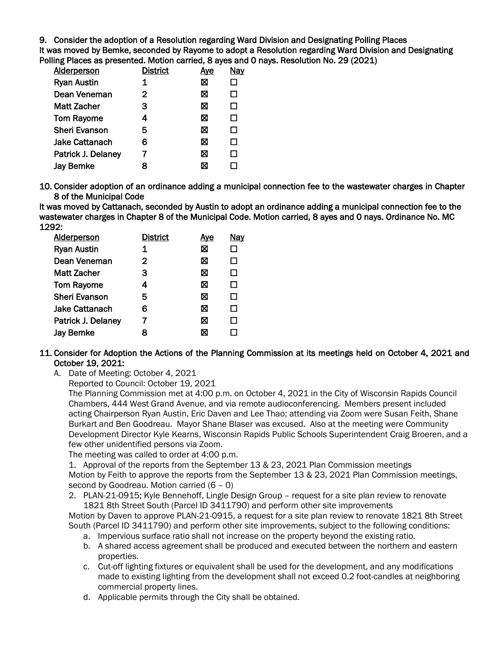9. Consider the adoption of a Resolution regarding Ward Division and Designating Polling Places

It was moved by Bemke, seconded by Rayome to adopt a Resolution regarding Ward Division and Designating Polling Places as presented. Motion carried, 8 ayes and 0 nays. Resolution No. 29 (2021)

| <b>Alderperson</b>    | <b>District</b> | <u>Aye</u> | Nay |
|-----------------------|-----------------|------------|-----|
| <b>Ryan Austin</b>    | 1               | ⊠          | П   |
| Dean Veneman          | $\mathbf{2}$    | ⊠          | □   |
| <b>Matt Zacher</b>    | 3               | ⊠          | □   |
| <b>Tom Rayome</b>     | 4               | ⊠          | □   |
| <b>Sheri Evanson</b>  | 5               | ⊠          | □   |
| <b>Jake Cattanach</b> | 6               | ⊠          | □   |
| Patrick J. Delaney    | 7               | ⊠          | П   |
| <b>Jay Bemke</b>      | 8               | ⊠          |     |
|                       |                 |            |     |

10. Consider adoption of an ordinance adding a municipal connection fee to the wastewater charges in Chapter 8 of the Municipal Code

It was moved by Cattanach, seconded by Austin to adopt an ordinance adding a municipal connection fee to the wastewater charges in Chapter 8 of the Municipal Code. Motion carried, 8 ayes and 0 nays. Ordinance No. MC 1292:

| Alderperson          | <b>District</b> | <u>Aye</u> | <b>Nay</b> |
|----------------------|-----------------|------------|------------|
| <b>Ryan Austin</b>   | 1               | ⊠          | $\Box$     |
| Dean Veneman         | $\overline{2}$  | ⊠          | □          |
| Matt Zacher          | 3               | ⊠          | □          |
| <b>Tom Rayome</b>    | $\overline{4}$  | ⊠          | □          |
| <b>Sheri Evanson</b> | 5               | ⊠          | П          |
| Jake Cattanach       | 6               | ⊠          | П          |
| Patrick J. Delaney   | 7               | ⊠          | □          |
| <b>Jay Bemke</b>     | 8               | ⊠          |            |

## 11. Consider for Adoption the Actions of the Planning Commission at its meetings held on October 4, 2021 and October 19, 2021:

A. Date of Meeting: October 4, 2021

Reported to Council: October 19, 2021

The Planning Commission met at 4:00 p.m. on October 4, 2021 in the City of Wisconsin Rapids Council Chambers, 444 West Grand Avenue, and via remote audioconferencing. Members present included acting Chairperson Ryan Austin, Eric Daven and Lee Thao; attending via Zoom were Susan Feith, Shane Burkart and Ben Goodreau. Mayor Shane Blaser was excused. Also at the meeting were Community Development Director Kyle Kearns, Wisconsin Rapids Public Schools Superintendent Craig Broeren, and a few other unidentified persons via Zoom.

The meeting was called to order at 4:00 p.m.

1. Approval of the reports from the September 13 & 23, 2021 Plan Commission meetings Motion by Feith to approve the reports from the September 13 & 23, 2021 Plan Commission meetings, second by Goodreau. Motion carried (6 – 0)

2. PLAN-21-0915; Kyle Bennehoff, Lingle Design Group – request for a site plan review to renovate 1821 8th Street South (Parcel ID 3411790) and perform other site improvements

Motion by Daven to approve PLAN-21-0915, a request for a site plan review to renovate 1821 8th Street South (Parcel ID 3411790) and perform other site improvements, subject to the following conditions:

- a. Impervious surface ratio shall not increase on the property beyond the existing ratio.
- b. A shared access agreement shall be produced and executed between the northern and eastern properties.
- c. Cut-off lighting fixtures or equivalent shall be used for the development, and any modifications made to existing lighting from the development shall not exceed 0.2 foot-candles at neighboring commercial property lines.
- d. Applicable permits through the City shall be obtained.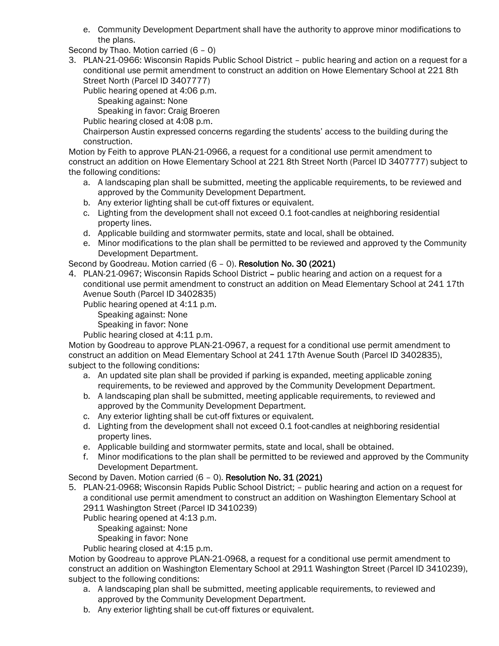e. Community Development Department shall have the authority to approve minor modifications to the plans.

Second by Thao. Motion carried (6 – 0)

3. PLAN-21-0966: Wisconsin Rapids Public School District – public hearing and action on a request for a conditional use permit amendment to construct an addition on Howe Elementary School at 221 8th Street North (Parcel ID 3407777)

Public hearing opened at 4:06 p.m.

Speaking against: None

Speaking in favor: Craig Broeren

Public hearing closed at 4:08 p.m.

Chairperson Austin expressed concerns regarding the students' access to the building during the construction.

Motion by Feith to approve PLAN-21-0966, a request for a conditional use permit amendment to construct an addition on Howe Elementary School at 221 8th Street North (Parcel ID 3407777) subject to the following conditions:

- a. A landscaping plan shall be submitted, meeting the applicable requirements, to be reviewed and approved by the Community Development Department.
- b. Any exterior lighting shall be cut-off fixtures or equivalent.
- c. Lighting from the development shall not exceed 0.1 foot-candles at neighboring residential property lines.
- d. Applicable building and stormwater permits, state and local, shall be obtained.
- e. Minor modifications to the plan shall be permitted to be reviewed and approved ty the Community Development Department.

Second by Goodreau. Motion carried (6 – 0). Resolution No. 30 (2021)

4. PLAN-21-0967; Wisconsin Rapids School District – public hearing and action on a request for a conditional use permit amendment to construct an addition on Mead Elementary School at 241 17th Avenue South (Parcel ID 3402835)

Public hearing opened at 4:11 p.m.

Speaking against: None

Speaking in favor: None

Public hearing closed at 4:11 p.m.

Motion by Goodreau to approve PLAN-21-0967, a request for a conditional use permit amendment to construct an addition on Mead Elementary School at 241 17th Avenue South (Parcel ID 3402835), subject to the following conditions:

- a. An updated site plan shall be provided if parking is expanded, meeting applicable zoning requirements, to be reviewed and approved by the Community Development Department.
- b. A landscaping plan shall be submitted, meeting applicable requirements, to reviewed and approved by the Community Development Department.
- c. Any exterior lighting shall be cut-off fixtures or equivalent.
- d. Lighting from the development shall not exceed 0.1 foot-candles at neighboring residential property lines.
- e. Applicable building and stormwater permits, state and local, shall be obtained.
- f. Minor modifications to the plan shall be permitted to be reviewed and approved by the Community Development Department.

Second by Daven. Motion carried (6 – 0). Resolution No. 31 (2021)

5. PLAN-21-0968; Wisconsin Rapids Public School District; – public hearing and action on a request for a conditional use permit amendment to construct an addition on Washington Elementary School at 2911 Washington Street (Parcel ID 3410239)

Public hearing opened at 4:13 p.m.

Speaking against: None

Speaking in favor: None

Public hearing closed at 4:15 p.m.

Motion by Goodreau to approve PLAN-21-0968, a request for a conditional use permit amendment to construct an addition on Washington Elementary School at 2911 Washington Street (Parcel ID 3410239), subject to the following conditions:

- a. A landscaping plan shall be submitted, meeting applicable requirements, to reviewed and approved by the Community Development Department.
- b. Any exterior lighting shall be cut-off fixtures or equivalent.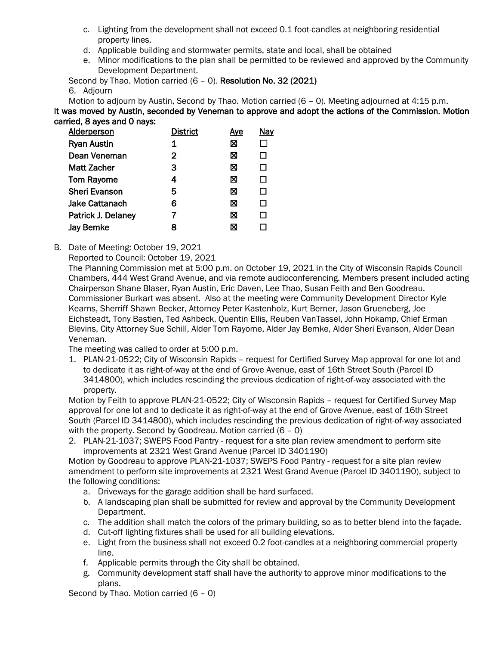- c. Lighting from the development shall not exceed 0.1 foot-candles at neighboring residential property lines.
- d. Applicable building and stormwater permits, state and local, shall be obtained
- e. Minor modifications to the plan shall be permitted to be reviewed and approved by the Community Development Department.

Second by Thao. Motion carried (6 – 0). Resolution No. 32 (2021) 6. Adjourn

Motion to adjourn by Austin, Second by Thao. Motion carried (6 – 0). Meeting adjourned at 4:15 p.m. It was moved by Austin, seconded by Veneman to approve and adopt the actions of the Commission. Motion carried, 8 ayes and 0 nays:

| <b>Alderperson</b>    | <b>District</b> | <u>Ave</u> | <b>Nay</b> |
|-----------------------|-----------------|------------|------------|
| <b>Ryan Austin</b>    | 1               | ⊠          |            |
| Dean Veneman          | 2               | ⊠          | □          |
| Matt Zacher           | З               | ⊠          | □          |
| <b>Tom Rayome</b>     | 4               | ⊠          | □          |
| <b>Sheri Evanson</b>  | 5               | ⊠          | □          |
| <b>Jake Cattanach</b> | 6               | ⊠          | □          |
| Patrick J. Delaney    |                 | ⊠          | □          |
| <b>Jay Bemke</b>      | 8               | Χ          |            |

B. Date of Meeting: October 19, 2021

Reported to Council: October 19, 2021

The Planning Commission met at 5:00 p.m. on October 19, 2021 in the City of Wisconsin Rapids Council Chambers, 444 West Grand Avenue, and via remote audioconferencing. Members present included acting Chairperson Shane Blaser, Ryan Austin, Eric Daven, Lee Thao, Susan Feith and Ben Goodreau. Commissioner Burkart was absent. Also at the meeting were Community Development Director Kyle Kearns, Sherriff Shawn Becker, Attorney Peter Kastenholz, Kurt Berner, Jason Grueneberg, Joe Eichsteadt, Tony Bastien, Ted Ashbeck, Quentin Ellis, Reuben VanTassel, John Hokamp, Chief Erman Blevins, City Attorney Sue Schill, Alder Tom Rayome, Alder Jay Bemke, Alder Sheri Evanson, Alder Dean Veneman.

The meeting was called to order at 5:00 p.m.

1. PLAN-21-0522; City of Wisconsin Rapids – request for Certified Survey Map approval for one lot and to dedicate it as right-of-way at the end of Grove Avenue, east of 16th Street South (Parcel ID 3414800), which includes rescinding the previous dedication of right-of-way associated with the property.

Motion by Feith to approve PLAN-21-0522; City of Wisconsin Rapids – request for Certified Survey Map approval for one lot and to dedicate it as right-of-way at the end of Grove Avenue, east of 16th Street South (Parcel ID 3414800), which includes rescinding the previous dedication of right-of-way associated with the property. Second by Goodreau. Motion carried (6 – 0)

2. PLAN-21-1037; SWEPS Food Pantry - request for a site plan review amendment to perform site improvements at 2321 West Grand Avenue (Parcel ID 3401190)

Motion by Goodreau to approve PLAN-21-1037; SWEPS Food Pantry - request for a site plan review amendment to perform site improvements at 2321 West Grand Avenue (Parcel ID 3401190), subject to the following conditions:

- a. Driveways for the garage addition shall be hard surfaced.
- b. A landscaping plan shall be submitted for review and approval by the Community Development Department.
- c. The addition shall match the colors of the primary building, so as to better blend into the façade.
- d. Cut-off lighting fixtures shall be used for all building elevations.
- e. Light from the business shall not exceed 0.2 foot-candles at a neighboring commercial property line.
- f. Applicable permits through the City shall be obtained.
- g. Community development staff shall have the authority to approve minor modifications to the plans.

Second by Thao. Motion carried (6 – 0)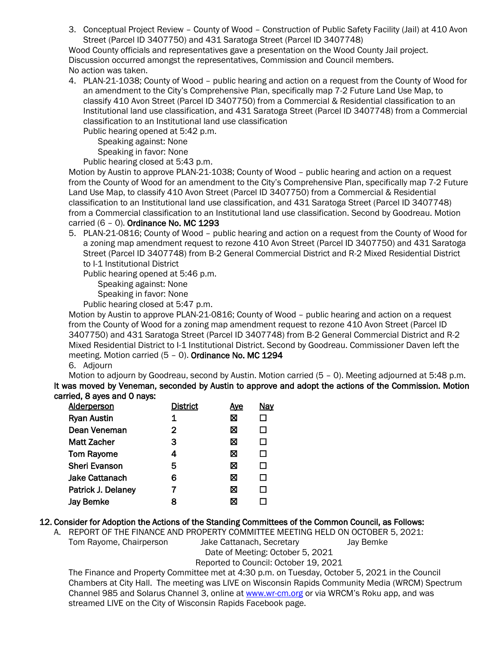3. Conceptual Project Review – County of Wood – Construction of Public Safety Facility (Jail) at 410 Avon Street (Parcel ID 3407750) and 431 Saratoga Street (Parcel ID 3407748)

Wood County officials and representatives gave a presentation on the Wood County Jail project. Discussion occurred amongst the representatives, Commission and Council members. No action was taken.

4. PLAN-21-1038; County of Wood – public hearing and action on a request from the County of Wood for an amendment to the City's Comprehensive Plan, specifically map 7-2 Future Land Use Map, to classify 410 Avon Street (Parcel ID 3407750) from a Commercial & Residential classification to an Institutional land use classification, and 431 Saratoga Street (Parcel ID 3407748) from a Commercial classification to an Institutional land use classification

Public hearing opened at 5:42 p.m.

Speaking against: None

Speaking in favor: None

Public hearing closed at 5:43 p.m.

Motion by Austin to approve PLAN-21-1038; County of Wood – public hearing and action on a request from the County of Wood for an amendment to the City's Comprehensive Plan, specifically map 7-2 Future Land Use Map, to classify 410 Avon Street (Parcel ID 3407750) from a Commercial & Residential classification to an Institutional land use classification, and 431 Saratoga Street (Parcel ID 3407748) from a Commercial classification to an Institutional land use classification. Second by Goodreau. Motion carried (6 – 0). Ordinance No. MC 1293

5. PLAN-21-0816; County of Wood – public hearing and action on a request from the County of Wood for a zoning map amendment request to rezone 410 Avon Street (Parcel ID 3407750) and 431 Saratoga Street (Parcel ID 3407748) from B-2 General Commercial District and R-2 Mixed Residential District to I-1 Institutional District

Public hearing opened at 5:46 p.m.

Speaking against: None

Speaking in favor: None

Public hearing closed at 5:47 p.m.

Motion by Austin to approve PLAN-21-0816; County of Wood – public hearing and action on a request from the County of Wood for a zoning map amendment request to rezone 410 Avon Street (Parcel ID 3407750) and 431 Saratoga Street (Parcel ID 3407748) from B-2 General Commercial District and R-2 Mixed Residential District to I-1 Institutional District. Second by Goodreau. Commissioner Daven left the meeting. Motion carried (5 – 0). Ordinance No. MC 1294 6. Adjourn

Motion to adjourn by Goodreau, second by Austin. Motion carried (5 – 0). Meeting adjourned at 5:48 p.m. It was moved by Veneman, seconded by Austin to approve and adopt the actions of the Commission. Motion carried, 8 ayes and 0 nays:

| <b>Alderperson</b>    | <b>District</b> | <u>Ave</u> | <b>Nay</b>   |
|-----------------------|-----------------|------------|--------------|
| <b>Ryan Austin</b>    | 1               | ⊠          |              |
| Dean Veneman          | $\mathbf{2}$    | X          | П            |
| Matt Zacher           | З               | X          | П            |
| <b>Tom Rayome</b>     | 4               | ⊠          | П            |
| <b>Sheri Evanson</b>  | 5               | ⊠          | П            |
| <b>Jake Cattanach</b> | 6               | ⊠          | П            |
| Patrick J. Delaney    | 7               | ⊠          | $\mathsf{L}$ |
| <b>Jay Bemke</b>      | 8               | ⊠          |              |

# 12. Consider for Adoption the Actions of the Standing Committees of the Common Council, as Follows:

A. REPORT OF THE FINANCE AND PROPERTY COMMITTEE MEETING HELD ON OCTOBER 5, 2021: Tom Rayome, Chairperson Jake Cattanach, Secretary Jay Bemke Date of Meeting: October 5, 2021

Reported to Council: October 19, 2021

The Finance and Property Committee met at 4:30 p.m. on Tuesday, October 5, 2021 in the Council Chambers at City Hall. The meeting was LIVE on Wisconsin Rapids Community Media (WRCM) Spectrum Channel 985 and Solarus Channel 3, online a[t www.wr-cm.org](http://www.wr-cm.org/) or via WRCM's Roku app, and was streamed LIVE on the City of Wisconsin Rapids Facebook page.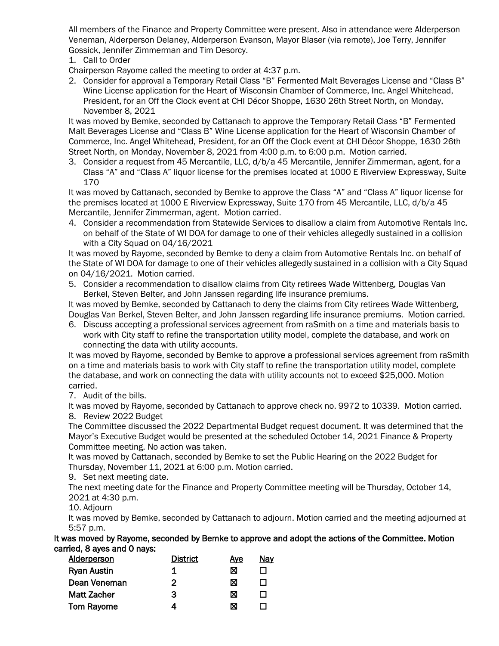All members of the Finance and Property Committee were present. Also in attendance were Alderperson Veneman, Alderperson Delaney, Alderperson Evanson, Mayor Blaser (via remote), Joe Terry, Jennifer Gossick, Jennifer Zimmerman and Tim Desorcy.

1. Call to Order

Chairperson Rayome called the meeting to order at 4:37 p.m.

2. Consider for approval a Temporary Retail Class "B" Fermented Malt Beverages License and "Class B" Wine License application for the Heart of Wisconsin Chamber of Commerce, Inc. Angel Whitehead, President, for an Off the Clock event at CHI Décor Shoppe, 1630 26th Street North, on Monday, November 8, 2021

It was moved by Bemke, seconded by Cattanach to approve the Temporary Retail Class "B" Fermented Malt Beverages License and "Class B" Wine License application for the Heart of Wisconsin Chamber of Commerce, Inc. Angel Whitehead, President, for an Off the Clock event at CHI Décor Shoppe, 1630 26th Street North, on Monday, November 8, 2021 from 4:00 p.m. to 6:00 p.m. Motion carried.

3. Consider a request from 45 Mercantile, LLC, d/b/a 45 Mercantile, Jennifer Zimmerman, agent, for a Class "A" and "Class A" liquor license for the premises located at 1000 E Riverview Expressway, Suite 170

It was moved by Cattanach, seconded by Bemke to approve the Class "A" and "Class A" liquor license for the premises located at 1000 E Riverview Expressway, Suite 170 from 45 Mercantile, LLC, d/b/a 45 Mercantile, Jennifer Zimmerman, agent. Motion carried.

4. Consider a recommendation from Statewide Services to disallow a claim from Automotive Rentals Inc. on behalf of the State of WI DOA for damage to one of their vehicles allegedly sustained in a collision with a City Squad on 04/16/2021

It was moved by Rayome, seconded by Bemke to deny a claim from Automotive Rentals Inc. on behalf of the State of WI DOA for damage to one of their vehicles allegedly sustained in a collision with a City Squad on 04/16/2021. Motion carried.

5. Consider a recommendation to disallow claims from City retirees Wade Wittenberg, Douglas Van Berkel, Steven Belter, and John Janssen regarding life insurance premiums.

It was moved by Bemke, seconded by Cattanach to deny the claims from City retirees Wade Wittenberg, Douglas Van Berkel, Steven Belter, and John Janssen regarding life insurance premiums. Motion carried.

6. Discuss accepting a professional services agreement from raSmith on a time and materials basis to work with City staff to refine the transportation utility model, complete the database, and work on connecting the data with utility accounts.

It was moved by Rayome, seconded by Bemke to approve a professional services agreement from raSmith on a time and materials basis to work with City staff to refine the transportation utility model, complete the database, and work on connecting the data with utility accounts not to exceed \$25,000. Motion carried.

7. Audit of the bills.

It was moved by Rayome, seconded by Cattanach to approve check no. 9972 to 10339. Motion carried. 8. Review 2022 Budget

The Committee discussed the 2022 Departmental Budget request document. It was determined that the Mayor's Executive Budget would be presented at the scheduled October 14, 2021 Finance & Property Committee meeting. No action was taken.

It was moved by Cattanach, seconded by Bemke to set the Public Hearing on the 2022 Budget for Thursday, November 11, 2021 at 6:00 p.m. Motion carried.

9. Set next meeting date.

The next meeting date for the Finance and Property Committee meeting will be Thursday, October 14, 2021 at 4:30 p.m.

10. Adjourn

It was moved by Bemke, seconded by Cattanach to adjourn. Motion carried and the meeting adjourned at 5:57 p.m.

It was moved by Rayome, seconded by Bemke to approve and adopt the actions of the Committee. Motion carried, 8 ayes and 0 nays:

| <b>Alderperson</b> | <b>District</b> | Aye | <u>Nav</u> |
|--------------------|-----------------|-----|------------|
| <b>Ryan Austin</b> | 1               | ⊠   |            |
| Dean Veneman       | 2               | ⊠   |            |
| <b>Matt Zacher</b> | З               | ⊠   |            |
| <b>Tom Rayome</b>  |                 | ⊠   |            |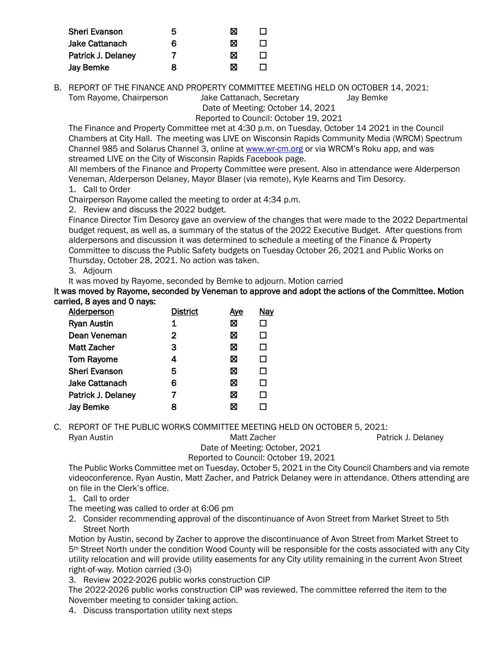| <b>Sheri Evanson</b>  | 5 | ⊠ |  |
|-----------------------|---|---|--|
| <b>Jake Cattanach</b> | 6 | ⊠ |  |
| Patrick J. Delaney    |   | ⊠ |  |
| <b>Jay Bemke</b>      | x | ⊠ |  |

B. REPORT OF THE FINANCE AND PROPERTY COMMITTEE MEETING HELD ON OCTOBER 14, 2021: Tom Rayome, Chairperson Jake Cattanach, Secretary Jay Bemke

Date of Meeting: October 14, 2021

Reported to Council: October 19, 2021

The Finance and Property Committee met at 4:30 p.m. on Tuesday, October 14 2021 in the Council Chambers at City Hall. The meeting was LIVE on Wisconsin Rapids Community Media (WRCM) Spectrum Channel 985 and Solarus Channel 3, online a[t www.wr-cm.org](http://www.wr-cm.org/) or via WRCM's Roku app, and was streamed LIVE on the City of Wisconsin Rapids Facebook page.

All members of the Finance and Property Committee were present. Also in attendance were Alderperson Veneman, Alderperson Delaney, Mayor Blaser (via remote), Kyle Kearns and Tim Desorcy. 1. Call to Order

Chairperson Rayome called the meeting to order at 4:34 p.m.

2. Review and discuss the 2022 budget.

Finance Director Tim Desorcy gave an overview of the changes that were made to the 2022 Departmental budget request, as well as, a summary of the status of the 2022 Executive Budget. After questions from alderpersons and discussion it was determined to schedule a meeting of the Finance & Property Committee to discuss the Public Safety budgets on Tuesday October 26, 2021 and Public Works on Thursday, October 28, 2021. No action was taken.

3. Adjourn

It was moved by Rayome, seconded by Bemke to adjourn. Motion carried

It was moved by Rayome, seconded by Veneman to approve and adopt the actions of the Committee. Motion carried, 8 ayes and 0 nays:

| <b>District</b> | <u>Aye</u> | <b>Nay</b> |
|-----------------|------------|------------|
| 1               | ⊠          | ப          |
| 2               | ⊠          | П          |
| з               | ⊠          | П          |
| 4               | ⊠          | П          |
| 5               | ⊠          | П          |
| 6               | ⊠          | П          |
|                 | ⊠          | П          |
| я               | ⊠          |            |
|                 |            |            |

C. REPORT OF THE PUBLIC WORKS COMMITTEE MEETING HELD ON OCTOBER 5, 2021:

Ryan Austin **Matt Zacher** Patrick J. Delaney **Matt Zacher** Patrick J. Delaney

Date of Meeting: October, 2021

### Reported to Council: October 19, 2021

The Public Works Committee met on Tuesday, October 5, 2021 in the City Council Chambers and via remote videoconference. Ryan Austin, Matt Zacher, and Patrick Delaney were in attendance. Others attending are on file in the Clerk's office.

- 1. Call to order
- The meeting was called to order at 6:06 pm
- 2. Consider recommending approval of the discontinuance of Avon Street from Market Street to 5th Street North

Motion by Austin, second by Zacher to approve the discontinuance of Avon Street from Market Street to 5th Street North under the condition Wood County will be responsible for the costs associated with any City utility relocation and will provide utility easements for any City utility remaining in the current Avon Street right-of-way. Motion carried (3-0)

3. Review 2022-2026 public works construction CIP

The 2022-2026 public works construction CIP was reviewed. The committee referred the item to the November meeting to consider taking action.

4. Discuss transportation utility next steps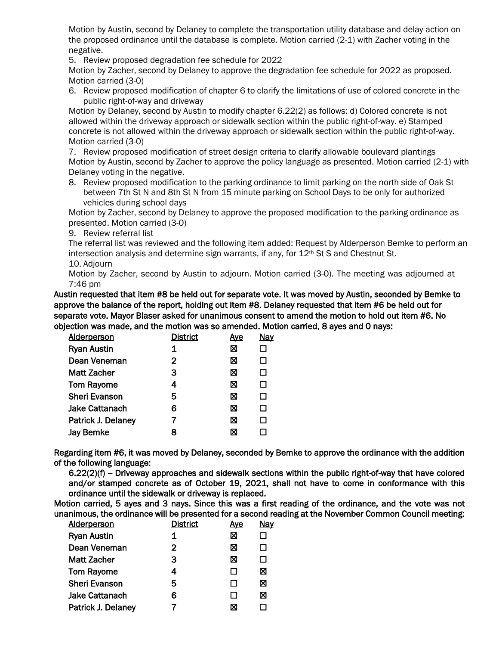Motion by Austin, second by Delaney to complete the transportation utility database and delay action on the proposed ordinance until the database is complete. Motion carried (2-1) with Zacher voting in the negative.

5. Review proposed degradation fee schedule for 2022

Motion by Zacher, second by Delaney to approve the degradation fee schedule for 2022 as proposed. Motion carried (3-0)

6. Review proposed modification of chapter 6 to clarify the limitations of use of colored concrete in the public right-of-way and driveway

Motion by Delaney, second by Austin to modify chapter 6.22(2) as follows: d) Colored concrete is not allowed within the driveway approach or sidewalk section within the public right-of-way. e) Stamped concrete is not allowed within the driveway approach or sidewalk section within the public right-of-way. Motion carried (3-0)

7. Review proposed modification of street design criteria to clarify allowable boulevard plantings Motion by Austin, second by Zacher to approve the policy language as presented. Motion carried (2-1) with Delaney voting in the negative.

8. Review proposed modification to the parking ordinance to limit parking on the north side of Oak St between 7th St N and 8th St N from 15 minute parking on School Days to be only for authorized vehicles during school days

Motion by Zacher, second by Delaney to approve the proposed modification to the parking ordinance as presented. Motion carried (3-0)

9. Review referral list

The referral list was reviewed and the following item added: Request by Alderperson Bemke to perform an intersection analysis and determine sign warrants, if any, for  $12<sup>th</sup>$  St S and Chestnut St. 10. Adjourn

Motion by Zacher, second by Austin to adjourn. Motion carried (3-0). The meeting was adjourned at 7:46 pm

Austin requested that item #8 be held out for separate vote. It was moved by Austin, seconded by Bemke to approve the balance of the report, holding out item #8. Delaney requested that item #6 be held out for separate vote. Mayor Blaser asked for unanimous consent to amend the motion to hold out item #6. No objection was made, and the motion was so amended. Motion carried, 8 ayes and 0 nays:

| Alderperson          | <b>District</b> | <u>Aye</u> | <b>Nay</b> |
|----------------------|-----------------|------------|------------|
| <b>Ryan Austin</b>   | 1               | ⊠          | □          |
| Dean Veneman         | $\mathbf{2}$    | ⊠          | □          |
| Matt Zacher          | 3               | ⊠          | □          |
| <b>Tom Rayome</b>    | 4               | ⊠          | □          |
| <b>Sheri Evanson</b> | 5               | ⊠          | □          |
| Jake Cattanach       | 6               | ⊠          | □          |
| Patrick J. Delaney   | 7               | ⊠          | П          |
| <b>Jay Bemke</b>     | 8               | ⊠          |            |

Regarding item #6, it was moved by Delaney, seconded by Bemke to approve the ordinance with the addition of the following language:

 $6.22(2)(f)$  – Driveway approaches and sidewalk sections within the public right-of-way that have colored and/or stamped concrete as of October 19, 2021, shall not have to come in conformance with this ordinance until the sidewalk or driveway is replaced.

Motion carried, 5 ayes and 3 nays. Since this was a first reading of the ordinance, and the vote was not unanimous, the ordinance will be presented for a second reading at the November Common Council meeting:

| <b>Alderperson</b>    | <b>District</b> | <u>Aye</u> | <b>Nay</b> |
|-----------------------|-----------------|------------|------------|
| <b>Ryan Austin</b>    | 1               | ⊠          |            |
| Dean Veneman          | $\mathbf{2}$    | ⊠          | H          |
| <b>Matt Zacher</b>    | 3               | ⊠          | LΙ         |
| <b>Tom Rayome</b>     | 4               | LΙ         | ⊠          |
| <b>Sheri Evanson</b>  | 5               | ΙI         | ⊠          |
| <b>Jake Cattanach</b> | 6               | H          | ⊠          |
| Patrick J. Delaney    |                 | ⊠          |            |
|                       |                 |            |            |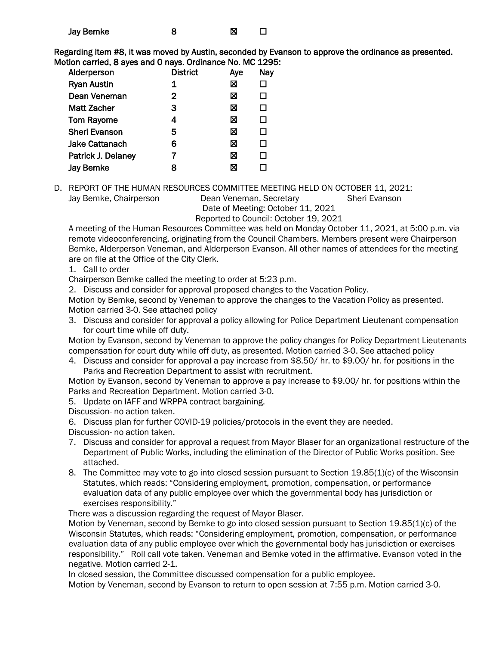| <b>Jay Bemke</b> |  | ⊠ |  |
|------------------|--|---|--|
|------------------|--|---|--|

Regarding item #8, it was moved by Austin, seconded by Evanson to approve the ordinance as presented. Motion carried, 8 ayes and 0 nays. Ordinance No. MC 1295:

| <b>Alderperson</b>    | <b>District</b> | <u>Aye</u> | <b>Nay</b> |
|-----------------------|-----------------|------------|------------|
| <b>Ryan Austin</b>    | 1               | 図          |            |
| Dean Veneman          | 2               | ⊠          | П          |
| Matt Zacher           | 3               | ⊠          | П          |
| <b>Tom Rayome</b>     | 4               | ⊠          | П          |
| <b>Sheri Evanson</b>  | 5               | ⊠          | П          |
| <b>Jake Cattanach</b> | 6               | ⊠          | П          |
| Patrick J. Delaney    |                 | ⊠          | H          |
| <b>Jay Bemke</b>      | 8               | ⊠          |            |
|                       |                 |            |            |

D. REPORT OF THE HUMAN RESOURCES COMMITTEE MEETING HELD ON OCTOBER 11, 2021:

Jay Bemke, Chairperson Dean Veneman, Secretary Sheri Evanson

Date of Meeting: October 11, 2021

Reported to Council: October 19, 2021

A meeting of the Human Resources Committee was held on Monday October 11, 2021, at 5:00 p.m. via remote videoconferencing, originating from the Council Chambers. Members present were Chairperson Bemke, Alderperson Veneman, and Alderperson Evanson. All other names of attendees for the meeting are on file at the Office of the City Clerk.

1. Call to order

Chairperson Bemke called the meeting to order at 5:23 p.m.

2. Discuss and consider for approval proposed changes to the Vacation Policy.

Motion by Bemke, second by Veneman to approve the changes to the Vacation Policy as presented. Motion carried 3-0. See attached policy

3. Discuss and consider for approval a policy allowing for Police Department Lieutenant compensation for court time while off duty.

Motion by Evanson, second by Veneman to approve the policy changes for Policy Department Lieutenants compensation for court duty while off duty, as presented. Motion carried 3-0. See attached policy

4. Discuss and consider for approval a pay increase from \$8.50/ hr. to \$9.00/ hr. for positions in the Parks and Recreation Department to assist with recruitment.

Motion by Evanson, second by Veneman to approve a pay increase to \$9.00/ hr. for positions within the Parks and Recreation Department. Motion carried 3-0.

5. Update on IAFF and WRPPA contract bargaining.

Discussion- no action taken.

6. Discuss plan for further COVID-19 policies/protocols in the event they are needed.

- Discussion- no action taken.
- 7. Discuss and consider for approval a request from Mayor Blaser for an organizational restructure of the Department of Public Works, including the elimination of the Director of Public Works position. See attached.
- 8. The Committee may vote to go into closed session pursuant to Section 19.85(1)(c) of the Wisconsin Statutes, which reads: "Considering employment, promotion, compensation, or performance evaluation data of any public employee over which the governmental body has jurisdiction or exercises responsibility."

There was a discussion regarding the request of Mayor Blaser.

Motion by Veneman, second by Bemke to go into closed session pursuant to Section 19.85(1)(c) of the Wisconsin Statutes, which reads: "Considering employment, promotion, compensation, or performance evaluation data of any public employee over which the governmental body has jurisdiction or exercises responsibility." Roll call vote taken. Veneman and Bemke voted in the affirmative. Evanson voted in the negative. Motion carried 2-1.

In closed session, the Committee discussed compensation for a public employee.

Motion by Veneman, second by Evanson to return to open session at 7:55 p.m. Motion carried 3-0.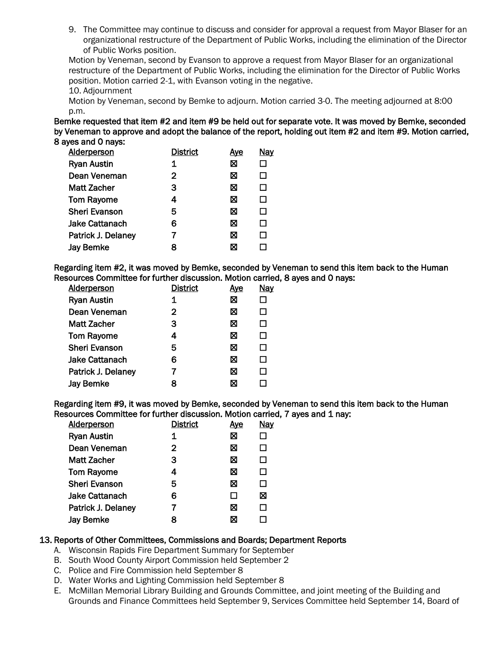9. The Committee may continue to discuss and consider for approval a request from Mayor Blaser for an organizational restructure of the Department of Public Works, including the elimination of the Director of Public Works position.

Motion by Veneman, second by Evanson to approve a request from Mayor Blaser for an organizational restructure of the Department of Public Works, including the elimination for the Director of Public Works position. Motion carried 2-1, with Evanson voting in the negative.

10. Adjournment

Motion by Veneman, second by Bemke to adjourn. Motion carried 3-0. The meeting adjourned at 8:00 p.m.

Bemke requested that item #2 and item #9 be held out for separate vote. It was moved by Bemke, seconded by Veneman to approve and adopt the balance of the report, holding out item #2 and item #9. Motion carried, 8 ayes and 0 nays:

| Alderperson           | <b>District</b> | <u>Aye</u> | <b>Nay</b> |
|-----------------------|-----------------|------------|------------|
| <b>Ryan Austin</b>    | 1               | ⊠          |            |
| Dean Veneman          | 2               | ⊠          | П          |
| <b>Matt Zacher</b>    | 3               | ⊠          | П          |
| <b>Tom Rayome</b>     | 4               | ⊠          | $\Box$     |
| <b>Sheri Evanson</b>  | 5               | ⊠          | П          |
| <b>Jake Cattanach</b> | 6               | ⊠          | П          |
| Patrick J. Delaney    |                 | ⊠          | ΙI         |
| <b>Jay Bemke</b>      | 8               | X          |            |

Regarding item #2, it was moved by Bemke, seconded by Veneman to send this item back to the Human Resources Committee for further discussion. Motion carried, 8 ayes and 0 nays:

| <b>Alderperson</b>   | <b>District</b> | <u>Aye</u> | Nay          |
|----------------------|-----------------|------------|--------------|
| <b>Ryan Austin</b>   | 1               | ⊠          |              |
| Dean Veneman         | 2               | ⊠          | LΙ           |
| <b>Matt Zacher</b>   | 3               | ⊠          | П            |
| <b>Tom Rayome</b>    | 4               | ⊠          | П            |
| <b>Sheri Evanson</b> | 5               | ⊠          | $\mathsf{L}$ |
| Jake Cattanach       | 6               | ⊠          | П            |
| Patrick J. Delaney   |                 | ⊠          | $\mathsf{L}$ |
| <b>Jay Bemke</b>     | 8               | ⊠          |              |

Regarding item #9, it was moved by Bemke, seconded by Veneman to send this item back to the Human Resources Committee for further discussion. Motion carried, 7 ayes and 1 nay:

| <b>Alderperson</b>   | <b>District</b> | <u>Aye</u> | <b>Nay</b>   |
|----------------------|-----------------|------------|--------------|
| <b>Ryan Austin</b>   | 1               | ⊠          |              |
| Dean Veneman         | $\mathbf{2}$    | ⊠          | $\mathsf{L}$ |
| <b>Matt Zacher</b>   | З               | ⊠          | П            |
| <b>Tom Rayome</b>    | 4               | ⊠          | $\mathsf{L}$ |
| <b>Sheri Evanson</b> | 5               | ⊠          | $\mathsf{L}$ |
| Jake Cattanach       | 6               | П          | ⊠            |
| Patrick J. Delaney   |                 | ⊠          | $\mathsf{L}$ |
| <b>Jay Bemke</b>     | 8               | ⊠          |              |

#### 13. Reports of Other Committees, Commissions and Boards; Department Reports

- A. Wisconsin Rapids Fire Department Summary for September
- B. South Wood County Airport Commission held September 2
- C. Police and Fire Commission held September 8
- D. Water Works and Lighting Commission held September 8
- E. McMillan Memorial Library Building and Grounds Committee, and joint meeting of the Building and Grounds and Finance Committees held September 9, Services Committee held September 14, Board of